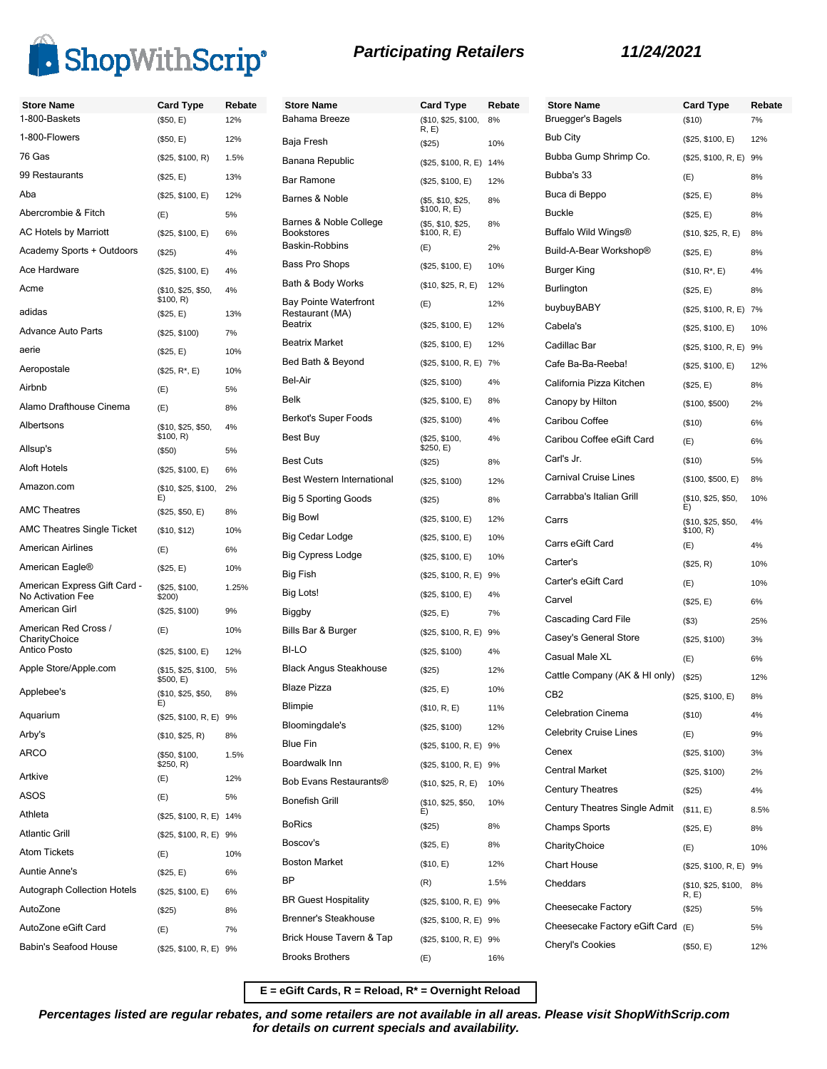

| <b>Store Name</b>                                 | <b>Card Type</b>                | Rebate | <b>Store Name</b>                               | <b>Card Type</b>                  | Reb  |
|---------------------------------------------------|---------------------------------|--------|-------------------------------------------------|-----------------------------------|------|
| 1-800-Baskets                                     | (\$50, E)                       | 12%    | Bahama Breeze                                   | (\$10, \$25, \$100,<br>R, E)      | 8%   |
| 1-800-Flowers                                     | (\$50, E)                       | 12%    | Baja Fresh                                      | (\$25)                            | 10%  |
| 76 Gas                                            | (\$25, \$100, R)                | 1.5%   | Banana Republic                                 | (\$25, \$100, R, E) 14%           |      |
| 99 Restaurants                                    | (\$25, E)                       | 13%    | Bar Ramone                                      | (\$25, \$100, E)                  | 12%  |
| Aba                                               | (\$25, \$100, E)                | 12%    | Barnes & Noble                                  | (\$5, \$10, \$25,                 | 8%   |
| Abercrombie & Fitch                               | (E)                             | 5%     | Barnes & Noble College                          | \$100, R, E)<br>(\$5, \$10, \$25, | 8%   |
| AC Hotels by Marriott                             | (\$25, \$100, E)                | 6%     | Bookstores<br>Baskin-Robbins                    | \$100, R, E)                      |      |
| Academy Sports + Outdoors                         | (S25)                           | 4%     | Bass Pro Shops                                  | (E)                               | 2%   |
| Ace Hardware                                      | (\$25, \$100, E)                | 4%     |                                                 | (\$25, \$100, E)                  | 10%  |
| Acme                                              | (\$10, \$25, \$50,<br>\$100, R) | 4%     | Bath & Body Works                               | (\$10, \$25, R, E)                | 12%  |
| adidas                                            | (\$25, E)                       | 13%    | <b>Bay Pointe Waterfront</b><br>Restaurant (MA) | (E)                               | 12%  |
| <b>Advance Auto Parts</b>                         | (\$25, \$100)                   | 7%     | <b>Beatrix</b>                                  | (\$25, \$100, E)                  | 12%  |
| aerie                                             | (\$25, E)                       | 10%    | <b>Beatrix Market</b>                           | (\$25, \$100, E)                  | 12%  |
| Aeropostale                                       | $($25, R^*, E)$                 | 10%    | Bed Bath & Beyond                               | (\$25, \$100, R, E) 7%            |      |
| Airbnb                                            | (E)                             | 5%     | Bel-Air                                         | (\$25, \$100)                     | 4%   |
| Alamo Drafthouse Cinema                           | (E)                             | 8%     | Belk                                            | (\$25, \$100, E)                  | 8%   |
| Albertsons                                        | (\$10, \$25, \$50,              | 4%     | Berkot's Super Foods                            | (\$25, \$100)                     | 4%   |
| Allsup's                                          | \$100, R)                       |        | Best Buy                                        | (\$25, \$100,<br>\$250, E)        | 4%   |
| <b>Aloft Hotels</b>                               | (\$50)                          | 5%     | <b>Best Cuts</b>                                | (\$25)                            | 8%   |
| Amazon.com                                        | (\$25, \$100, E)                | 6%     | Best Western International                      | (\$25, \$100)                     | 12%  |
|                                                   | (\$10, \$25, \$100,<br>E)       | 2%     | <b>Big 5 Sporting Goods</b>                     | (\$25)                            | 8%   |
| <b>AMC Theatres</b>                               | (\$25, \$50, E)                 | 8%     | <b>Big Bowl</b>                                 | (\$25, \$100, E)                  | 12%  |
| <b>AMC Theatres Single Ticket</b>                 | (\$10, \$12)                    | 10%    | Big Cedar Lodge                                 | (\$25, \$100, E)                  | 10%  |
| <b>American Airlines</b>                          | (E)                             | 6%     | Big Cypress Lodge                               | (\$25, \$100, E)                  | 10%  |
| American Eagle <sup>®</sup>                       | (\$25, E)                       | 10%    | Big Fish                                        | (\$25, \$100, R, E)               | 9%   |
| American Express Gift Card -<br>No Activation Fee | (\$25, \$100,<br>\$200)         | 1.25%  | Big Lots!                                       | (\$25, \$100, E)                  | 4%   |
| American Girl                                     | (\$25, \$100)                   | 9%     | Biggby                                          | (\$25, E)                         | 7%   |
| American Red Cross /                              | (E)                             | 10%    | Bills Bar & Burger                              | (\$25, \$100, R, E)               | 9%   |
| CharityChoice<br>Antico Posto                     | (\$25, \$100, E)                | 12%    | BI-LO                                           | (\$25, \$100)                     | 4%   |
| Apple Store/Apple.com                             | (\$15, \$25, \$100,             | 5%     | <b>Black Angus Steakhouse</b>                   | (\$25)                            | 12%  |
| Applebee's                                        | \$500, E)<br>(\$10, \$25, \$50, |        | <b>Blaze Pizza</b>                              | (\$25, E)                         | 10%  |
|                                                   | E)                              | 8%     | Blimpie                                         | (\$10, R, E)                      | 11%  |
| Aquarium                                          | (\$25, \$100, R, E) 9%          |        | Bloomingdale's                                  | (\$25, \$100)                     | 12%  |
| Arby's                                            | (\$10, \$25, R)                 | 8%     | Blue Fin                                        | (\$25, \$100, R, E) 9%            |      |
| <b>ARCO</b>                                       | (\$50, \$100,<br>\$250, R)      | 1.5%   | Boardwalk Inn                                   | (\$25, \$100, R, E) 9%            |      |
| Artkive                                           | (E)                             | 12%    | Bob Evans Restaurants®                          | (\$10, \$25, R, E)                | 10%  |
| ASOS                                              | (E)                             | 5%     | Bonefish Grill                                  | (\$10, \$25, \$50,                | 10%  |
| Athleta                                           | (\$25, \$100, R, E) 14%         |        | BoRics                                          | E)                                |      |
| <b>Atlantic Grill</b>                             | (\$25, \$100, R, E) 9%          |        | Boscov's                                        | (\$25)                            | 8%   |
| <b>Atom Tickets</b>                               | (E)                             | 10%    | <b>Boston Market</b>                            | (\$25, E)                         | 8%   |
| Auntie Anne's                                     | (\$25, E)                       | 6%     |                                                 | (\$10, E)                         | 12%  |
| <b>Autograph Collection Hotels</b>                | (\$25, \$100, E)                | 6%     | BΡ                                              | (R)                               | 1.5% |
| AutoZone                                          | (\$25)                          | 8%     | <b>BR Guest Hospitality</b>                     | (\$25, \$100, R, E) 9%            |      |
| AutoZone eGift Card                               | (E)                             | 7%     | Brenner's Steakhouse                            | (\$25, \$100, R, E) 9%            |      |
| Babin's Seafood House                             | (\$25, \$100, R, E) 9%          |        | Brick House Tavern & Tap                        | (\$25, \$100, R, E) 9%            |      |
|                                                   |                                 |        | <b>Brooks Brothers</b>                          | (E)                               | 16%  |

| ate | <b>Store Name</b>             | <b>Card Type</b>                | Rebate |
|-----|-------------------------------|---------------------------------|--------|
|     | Bruegger's Bagels             | (\$10)                          | 7%     |
|     | <b>Bub City</b>               | (\$25, \$100, E)                | 12%    |
|     | Bubba Gump Shrimp Co.         | (\$25, \$100, R, E)             | 9%     |
|     | Bubba's 33                    | (E)                             | 8%     |
|     | Buca di Beppo                 | (\$25, E)                       | 8%     |
|     | <b>Buckle</b>                 | (\$25, E)                       | 8%     |
|     | Buffalo Wild Wings®           | (\$10, \$25, R, E)              | 8%     |
|     | Build-A-Bear Workshop®        | (\$25, E)                       | 8%     |
|     | Burger King                   | $($10, R^*, E)$                 | 4%     |
|     | Burlington                    | (\$25, E)                       | 8%     |
|     | buybuyBABY                    | (\$25, \$100, R, E) 7%          |        |
|     | Cabela's                      | (\$25, \$100, E)                | 10%    |
|     | Cadillac Bar                  | (\$25, \$100, R, E)             | 9%     |
|     | Cafe Ba-Ba-Reeba!             | (\$25, \$100, E)                | 12%    |
|     | California Pizza Kitchen      | (\$25, E)                       | 8%     |
|     | Canopy by Hilton              | (\$100, \$500)                  | 2%     |
|     | Caribou Coffee                | (\$10)                          | 6%     |
|     | Caribou Coffee eGift Card     | (E)                             | 6%     |
|     | Carl's Jr.                    | (\$10)                          | 5%     |
|     | <b>Carnival Cruise Lines</b>  | (\$100, \$500, E)               | 8%     |
|     | Carrabba's Italian Grill      | (\$10, \$25, \$50,<br>E)        | 10%    |
|     | Carrs                         | (\$10, \$25, \$50,<br>\$100, R) | 4%     |
|     | Carrs eGift Card              | (E)                             | 4%     |
|     | Carter's                      | (\$25, R)                       | 10%    |
|     | Carter's eGift Card           | (E)                             | 10%    |
|     | Carvel                        | (\$25, E)                       | 6%     |
|     | Cascading Card File           | (S3)                            | 25%    |
|     | Casey's General Store         | (\$25, \$100)                   | 3%     |
|     | Casual Male XL                | (E)                             | 6%     |
|     | Cattle Company (AK & HI only) | (\$25)                          | 12%    |
|     | CB <sub>2</sub>               | (\$25, \$100, E)                | 8%     |
|     | <b>Celebration Cinema</b>     | (\$10)                          | 4%     |
|     | <b>Celebrity Cruise Lines</b> | (E)                             | 9%     |
|     | Cenex                         | (\$25, \$100)                   | 3%     |
|     | <b>Central Market</b>         | (\$25, \$100)                   | 2%     |
|     | <b>Century Theatres</b>       | (\$25)                          | 4%     |
|     | Century Theatres Single Admit | (\$11, E)                       | 8.5%   |
|     | Champs Sports                 | (\$25, E)                       | 8%     |
|     | CharityChoice                 | (E)                             | 10%    |
|     | <b>Chart House</b>            | (\$25, \$100, R, E) 9%          |        |
|     | Cheddars                      | (\$10, \$25, \$100,<br>R, E     | 8%     |
|     | Cheesecake Factory            | (\$25)                          | 5%     |
|     | Cheesecake Factory eGift Card | (E)                             | 5%     |
|     | <b>Cheryl's Cookies</b>       | (\$50, E)                       | 12%    |

**E = eGift Cards, R = Reload, R\* = Overnight Reload**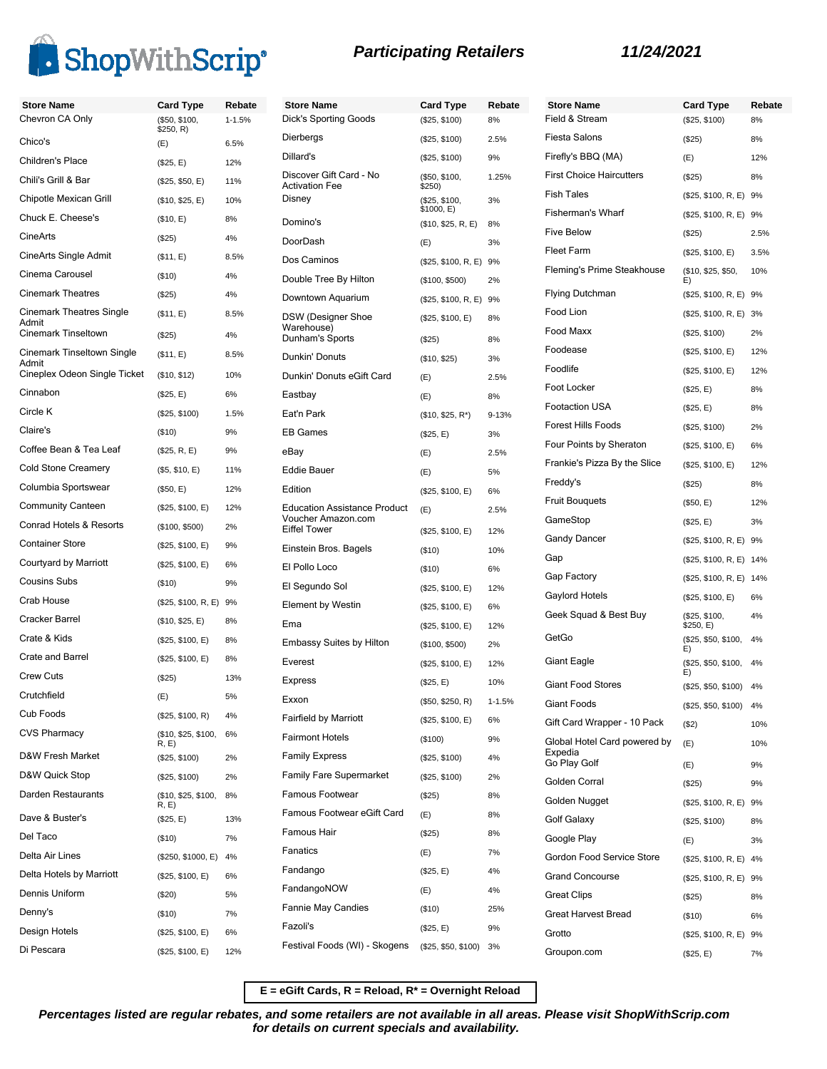

**Store Name Card Type Rebate**

| <b>Store Name</b>                        | <b>Card Type</b>           | Rebate   | <b>Store Name</b>                                | <b>Card Type</b>                 | Rebat      |
|------------------------------------------|----------------------------|----------|--------------------------------------------------|----------------------------------|------------|
| Chevron CA Only                          | (\$50, \$100,<br>\$250, R) | 1-1.5%   | <b>Dick's Sporting Goods</b>                     | (\$25, \$100)                    | 8%         |
| Chico's                                  | (E)                        | 6.5%     | Dierbergs                                        | (\$25, \$100)                    | 2.5%       |
| Children's Place                         | (\$25, E)                  | 12%      | Dillard's                                        | (\$25, \$100)                    | 9%         |
| Chili's Grill & Bar                      | (\$25, \$50, E)            | 11%      | Discover Gift Card - No<br><b>Activation Fee</b> | (\$50, \$100,<br>\$250)          | 1.25%      |
| Chipotle Mexican Grill                   | (\$10, \$25, E)            | 10%      | Disney                                           | (\$25, \$100,                    | 3%         |
| Chuck E. Cheese's                        | (\$10, E)                  | 8%       | Domino's                                         | \$1000, E)<br>(\$10, \$25, R, E) | 8%         |
| <b>CineArts</b>                          | (\$25)                     | 4%       | DoorDash                                         | (E)                              | 3%         |
| CineArts Single Admit                    | (\$11, E)                  | 8.5%     | Dos Caminos                                      | (\$25, \$100, R, E) 9%           |            |
| Cinema Carousel                          | (\$10)                     | 4%       | Double Tree By Hilton                            | (\$100, \$500)                   | 2%         |
| <b>Cinemark Theatres</b>                 | (\$25)                     | 4%       | Downtown Aquarium                                | (\$25, \$100, R, E) 9%           |            |
| <b>Cinemark Theatres Single</b><br>Admit | (\$11, E)                  | 8.5%     | DSW (Designer Shoe                               | (\$25, \$100, E)                 | 8%         |
| Cinemark Tinseltown                      | (\$25)                     | 4%       | Warehouse)<br>Dunham's Sports                    | (\$25)                           | 8%         |
| <b>Cinemark Tinseltown Single</b>        | (\$11, E)                  | 8.5%     | Dunkin' Donuts                                   | (\$10, \$25)                     | 3%         |
| Admit<br>Cineplex Odeon Single Ticket    | (\$10, \$12)               | 10%      | Dunkin' Donuts eGift Card                        | (E)                              | 2.5%       |
| Cinnabon                                 | (\$25, E)                  | 6%       | Eastbay                                          | (E)                              | 8%         |
| Circle K                                 | (\$25, \$100)              | 1.5%     | Eat'n Park                                       | $($10, $25, R^*)$                | 9-13%      |
| Claire's                                 | (\$10)                     | 9%       | <b>EB Games</b>                                  | (\$25, E)                        | 3%         |
| Coffee Bean & Tea Leaf                   | (\$25, R, E)               | 9%       | eBay                                             | (E)                              | 2.5%       |
| <b>Cold Stone Creamery</b>               | (\$5, \$10, E)             | 11%      | <b>Eddie Bauer</b>                               | (E)                              | 5%         |
| Columbia Sportswear                      | (\$50, E)                  | 12%      | Edition                                          | (\$25, \$100, E)                 | 6%         |
| <b>Community Canteen</b>                 | (\$25, \$100, E)           | 12%      | <b>Education Assistance Product</b>              | (E)                              | 2.5%       |
| Conrad Hotels & Resorts                  | (\$100, \$500)             | 2%       | Voucher Amazon.com<br><b>Eiffel Tower</b>        | (\$25, \$100, E)                 | 12%        |
| <b>Container Store</b>                   | (\$25, \$100, E)           | 9%       | Einstein Bros. Bagels                            | (\$10)                           | 10%        |
| Courtyard by Marriott                    | (\$25, \$100, E)           | 6%       | El Pollo Loco                                    | $($ \$10)                        | 6%         |
| <b>Cousins Subs</b>                      | (\$10)                     | 9%       | El Segundo Sol                                   | (\$25, \$100, E)                 | 12%        |
| Crab House                               | (\$25, \$100, R, E) 9%     |          | <b>Element by Westin</b>                         | (\$25, \$100, E)                 | 6%         |
| Cracker Barrel                           | (\$10, \$25, E)            | 8%       | Ema                                              | (\$25, \$100, E)                 | 12%        |
| Crate & Kids                             | (\$25, \$100, E)           | 8%       | <b>Embassy Suites by Hilton</b>                  | (\$100, \$500)                   | 2%         |
| Crate and Barrel                         | (\$25, \$100, E)           | 8%       | Everest                                          | (\$25, \$100, E)                 | 12%        |
| <b>Crew Cuts</b>                         | (\$25)                     | 13%      | <b>Express</b>                                   | (\$25, E)                        | 10%        |
| Crutchfield                              | (E)                        | 5%       | Exxon                                            | (\$50, \$250, R)                 | $1 - 1.5%$ |
| Cub Foods                                | (\$25, \$100, R)           | 4%       | <b>Fairfield by Marriott</b>                     | (\$25, \$100, E)                 | 6%         |
| <b>CVS Pharmacy</b>                      | (\$10, \$25, \$100,        | 6%       | <b>Fairmont Hotels</b>                           | (\$100)                          | 9%         |
| D&W Fresh Market                         | R, E)<br>(\$25, \$100)     | 2%       | <b>Family Express</b>                            | (\$25, \$100)                    | 4%         |
| D&W Quick Stop                           | (\$25, \$100)              | 2%       | Family Fare Supermarket                          | (\$25, \$100)                    | 2%         |
| Darden Restaurants                       | (\$10, \$25, \$100,        | 8%       | Famous Footwear                                  | (\$25)                           | 8%         |
| Dave & Buster's                          | R, E)                      |          | Famous Footwear eGift Card                       | (E)                              | 8%         |
| Del Taco                                 | (\$25, E)                  | 13%      | Famous Hair                                      | (\$25)                           | 8%         |
| Delta Air Lines                          | (\$10)                     | 7%       | Fanatics                                         | (E)                              | 7%         |
| Delta Hotels by Marriott                 | (\$250, \$1000, E)         | 4%       | Fandango                                         | (\$25, E)                        | 4%         |
| Dennis Uniform                           | (\$25, \$100, E)           | 6%       | FandangoNOW                                      | (E)                              | 4%         |
| Denny's                                  | (\$20)                     | 5%       | Fannie May Candies                               | (\$10)                           | 25%        |
| Design Hotels                            | (\$10)<br>(\$25, \$100, E) | 7%<br>6% | Fazoli's                                         | (\$25, E)                        | 9%         |
| Di Pescara                               |                            |          | Festival Foods (WI) - Skogens                    | (\$25, \$50, \$100)              | 3%         |
|                                          | (\$25, \$100, E)           | 12%      |                                                  |                                  |            |

| <b>Store Name</b><br>Field & Stream                     | <b>Card Type</b><br>(\$25, \$100) | Rebate<br>8% |
|---------------------------------------------------------|-----------------------------------|--------------|
| Fiesta Salons                                           | (\$25)                            | 8%           |
| Firefly's BBQ (MA)                                      | (E)                               | 12%          |
| <b>First Choice Haircutters</b>                         | (\$25)                            | 8%           |
| <b>Fish Tales</b>                                       | (\$25, \$100, R, E)               | 9%           |
| Fisherman's Wharf                                       | (\$25, \$100, R, E)               | 9%           |
| <b>Five Below</b>                                       | (\$25)                            | 2.5%         |
| Fleet Farm                                              | (\$25, \$100, E)                  | 3.5%         |
| Fleming's Prime Steakhouse                              | (\$10, \$25, \$50,<br>E)          | 10%          |
| <b>Flying Dutchman</b>                                  | (\$25, \$100, R, E)               | 9%           |
| Food Lion                                               | (\$25, \$100, R, E)               | 3%           |
| Food Maxx                                               | (\$25, \$100)                     | 2%           |
| Foodease                                                | (\$25, \$100, E)                  | 12%          |
| Foodlife                                                | (\$25, \$100, E)                  | 12%          |
| Foot Locker                                             | (\$25, E)                         | 8%           |
| <b>Footaction USA</b>                                   | (\$25, E)                         | 8%           |
| <b>Forest Hills Foods</b>                               | (\$25, \$100)                     | 2%           |
| Four Points by Sheraton                                 | (\$25, \$100, E)                  | 6%           |
| Frankie's Pizza By the Slice                            | (\$25, \$100, E)                  | 12%          |
| Freddy's                                                | (\$25)                            | 8%           |
| <b>Fruit Bouquets</b>                                   | (\$50, E)                         | 12%          |
| GameStop                                                | (\$25, E)                         | 3%           |
| Gandy Dancer                                            | (\$25, \$100, R, E)               | 9%           |
| Gap                                                     | (\$25, \$100, R, E)               | 14%          |
| Gap Factory                                             | (\$25, \$100, R, E)               | 14%          |
| Gaylord Hotels                                          | (\$25, \$100, E)                  | 6%           |
| Geek Squad & Best Buy                                   | (\$25, \$100,<br>\$250, E)        | 4%           |
| GetGo                                                   | (\$25, \$50, \$100,<br>E)         | 4%           |
| Giant Eagle                                             | (\$25, \$50, \$100,<br>E)         | 4%           |
| <b>Giant Food Stores</b>                                | (\$25, \$50, \$100)               | 4%           |
| Giant Foods                                             | (\$25, \$50, \$100)               | 4%           |
| Gift Card Wrapper - 10 Pack                             | (S2)                              | 10%          |
| Global Hotel Card powered by<br>Expedia<br>Go Play Golf | (E)                               | 10%          |
| Golden Corral                                           | (E)                               | 9%           |
| Golden Nugget                                           | (\$25)                            | 9%           |
| Golf Galaxy                                             | (\$25, \$100, R, E)               | 9%           |
| Google Play                                             | (\$25, \$100)                     | 8%           |
| Gordon Food Service Store                               | (E)                               | 3%           |
| <b>Grand Concourse</b>                                  | (\$25, \$100, R, E)               | 4%           |
| Great Clips                                             | (\$25, \$100, R, E)               | 9%           |
| <b>Great Harvest Bread</b>                              | (\$25)                            | 8%           |
| Grotto                                                  | (\$10)                            | 6%           |
|                                                         | (\$25, \$100, R, E)               | 9%           |
| Groupon.com                                             | (\$25, E)                         | 7%           |

**E = eGift Cards, R = Reload, R\* = Overnight Reload**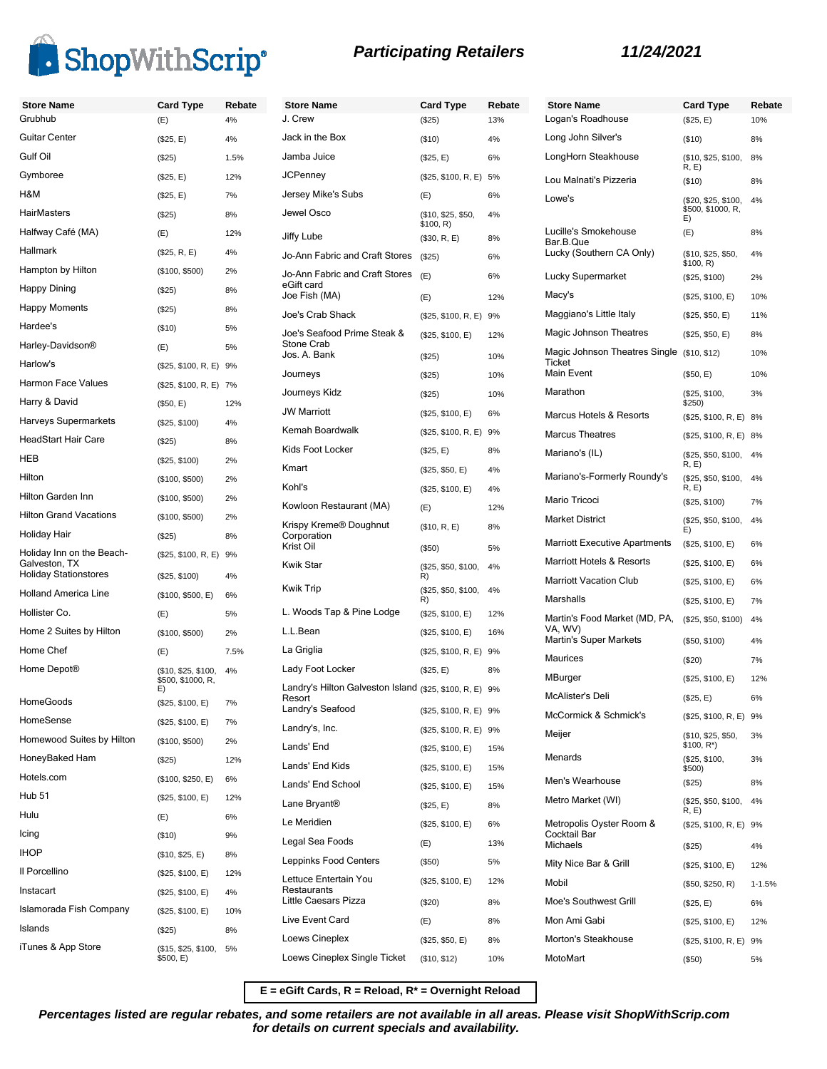

| <b>Store Name</b>                             | <b>Card Type</b>                         | Rebate | <b>Store</b>                  |
|-----------------------------------------------|------------------------------------------|--------|-------------------------------|
| Grubhub                                       | (E)                                      | 4%     | J. Crev                       |
| Guitar Center                                 | (\$25, E)                                | 4%     | Jack ir                       |
| Gulf Oil                                      | (\$25)                                   | 1.5%   | Jamba                         |
| Gymboree                                      | (\$25, E)                                | 12%    | <b>JCPen</b>                  |
| H&M                                           | (\$25, E)                                | 7%     | Jersey                        |
| <b>HairMasters</b>                            | (\$25)                                   | 8%     | Jewel                         |
| Halfway Café (MA)                             | (E)                                      | 12%    | Jiffy Lu                      |
| Hallmark                                      | (\$25, R, E)                             | 4%     | Jo-Anr                        |
| Hampton by Hilton                             | (\$100, \$500)                           | 2%     | Jo-Anr                        |
| <b>Happy Dining</b>                           | (\$25)                                   | 8%     | eGift c<br>Joe Fis            |
| <b>Happy Moments</b>                          | (\$25)                                   | 8%     | Joe's (                       |
| Hardee's                                      | (\$10)                                   | 5%     | Joe's S                       |
| Harley-Davidson®                              | (E)                                      | 5%     | Stone<br>Jos. A               |
| Harlow's                                      | (\$25, \$100, R, E) 9%                   |        | Journe                        |
| <b>Harmon Face Values</b>                     | (\$25, \$100, R, E) 7%                   |        |                               |
| Harry & David                                 | (\$50, E)                                | 12%    | Journe                        |
| Harveys Supermarkets                          | (\$25, \$100)                            | 4%     | JW Ma                         |
| <b>HeadStart Hair Care</b>                    | (\$25)                                   | 8%     | Kemal                         |
| <b>HEB</b>                                    | (\$25, \$100)                            | 2%     | Kids F                        |
| Hilton                                        | (\$100, \$500)                           | 2%     | Kmart                         |
| Hilton Garden Inn                             | (\$100, \$500)                           | 2%     | Kohl's                        |
| <b>Hilton Grand Vacations</b>                 | (\$100, \$500)                           | 2%     | Kowlo                         |
| Holiday Hair                                  | (\$25)                                   | 8%     | Krispy<br>Corpor              |
| Holiday Inn on the Beach-                     | (\$25, \$100, R, E) 9%                   |        | Krist C                       |
| Galveston, TX<br><b>Holiday Stationstores</b> | (\$25, \$100)                            | 4%     | Kwik S                        |
| <b>Holland America Line</b>                   | (\$100, \$500, E)                        | 6%     | Kwik T                        |
| Hollister Co.                                 | (E)                                      | 5%     | L. Woo                        |
| Home 2 Suites by Hilton                       | (\$100, \$500)                           | 2%     | L.L.Be                        |
| Home Chef                                     | (E)                                      | 7.5%   | La Grig                       |
| Home Depot <sup>®</sup>                       | (\$10, \$25, \$100,<br>\$500, \$1000, R, | 4%     | Lady F<br>Landry              |
| HomeGoods                                     | E)<br>(\$25, \$100, E)                   | 7%     | Resort                        |
| HomeSense                                     | (\$25, \$100, E)                         | 7%     | Landry                        |
| Homewood Suites by Hilton                     | (\$100, \$500)                           | 2%     | Landry<br>Lands'              |
| HoneyBaked Ham                                | (\$25)                                   | 12%    | Lands'                        |
| Hotels.com                                    | (\$100, \$250, E)                        | 6%     | Lands'                        |
| <b>Hub 51</b>                                 | (\$25, \$100, E)                         | 12%    | Lane E                        |
| Hulu                                          | (E)                                      | 6%     |                               |
| Icing                                         | (\$10)                                   | 9%     | Le Mei                        |
| <b>IHOP</b>                                   | (\$10, \$25, E)                          | 8%     | Legal :                       |
| Il Porcellino                                 | (\$25, \$100, E)                         | 12%    | Leppin                        |
| Instacart                                     | (\$25, \$100, E)                         | 4%     | Lettuce<br>Restau<br>Little C |
| Islamorada Fish Company                       | (\$25, \$100, E)                         | 10%    | Live E                        |
| Islands                                       | (\$25)                                   | 8%     | Loews                         |
| iTunes & App Store                            | (\$15, \$25, \$100,<br>\$500, E)         | 5%     | Loews                         |

| <b>Store Name</b>                                         | <b>Card Type</b>                | Rebate     |
|-----------------------------------------------------------|---------------------------------|------------|
| J. Crew                                                   | (S25)                           | 13%        |
| Jack in the Box                                           | (\$10)                          | 4%         |
| Jamba Juice                                               | (\$25, E)                       | 6%         |
| JCPenney                                                  | (\$25, \$100, R, E)             | 5%         |
| Jersey Mike's Subs                                        | (E)                             | 6%         |
| Jewel Osco                                                | (\$10, \$25, \$50,<br>\$100, R) | 4%         |
| Jiffy Lube                                                | (\$30, R, E)                    | 8%         |
| Jo-Ann Fabric and Craft Stores                            | (\$25)                          | 6%         |
| Jo-Ann Fabric and Craft Stores<br>eGift card              | (E)                             | 6%         |
| Joe Fish (MA)                                             | (E)                             | 12%        |
| Joe's Crab Shack                                          | (\$25, \$100, R, E)             | 9%         |
| Joe's Seafood Prime Steak &<br>Stone Crab<br>Jos. A. Bank | (\$25, \$100, E)<br>(\$25)      | 12%<br>10% |
| Journeys                                                  | (\$25)                          | 10%        |
| Journeys Kidz                                             | (S25)                           | 10%        |
| <b>JW Marriott</b>                                        | (\$25, \$100, E)                | 6%         |
| Kemah Boardwalk                                           | (\$25, \$100, R, E)             | 9%         |
| Kids Foot Locker                                          |                                 | 8%         |
| Kmart                                                     | (\$25, E)                       | 4%         |
| Kohl's                                                    | (\$25, \$50, E)                 | 4%         |
| Kowloon Restaurant (MA)                                   | (\$25, \$100, E)                | 12%        |
| Krispy Kreme® Doughnut                                    | (E)                             |            |
| Corporation<br>Krist Oil                                  | (\$10, R, E)<br>$($ \$50)       | 8%<br>5%   |
| Kwik Star                                                 | (\$25, \$50, \$100,             | 4%         |
| Kwik Trip                                                 | R)<br>(\$25, \$50, \$100,       | 4%         |
| L. Woods Tap & Pine Lodge                                 | R)<br>(\$25, \$100, E)          | 12%        |
| L.L.Bean                                                  | (\$25, \$100, E)                | 16%        |
| La Griglia                                                | (\$25, \$100, R, E)             | 9%         |
| Lady Foot Locker                                          | (\$25, E)                       | 8%         |
| Landry's Hilton Galveston Island (\$25, \$100, R, E)      |                                 | 9%         |
| Resort<br>Landry's Seafood                                | (\$25, \$100, R, E) 9%          |            |
| Landry's, Inc.                                            | (\$25, \$100, R, E) 9%          |            |
| Lands' End                                                | (\$25, \$100, E)                | 15%        |
| Lands' End Kids                                           | (\$25, \$100, E)                | 15%        |
| Lands' End School                                         | (\$25, \$100, E)                | 15%        |
| Lane Bryant®                                              | (\$25, E)                       | 8%         |
| Le Meridien                                               | (\$25, \$100, E)                | 6%         |
| Legal Sea Foods                                           | (E)                             | 13%        |
| Leppinks Food Centers                                     | (\$50)                          | 5%         |
| Lettuce Entertain You                                     | (\$25, \$100, E)                | 12%        |
| Restaurants<br>Little Caesars Pizza                       | (\$20)                          | 8%         |
| Live Event Card                                           | (E)                             | 8%         |
| Loews Cineplex                                            | (\$25, \$50, E)                 | 8%         |
| Loews Cineplex Single Ticket                              | (\$10, \$12)                    | 10%        |
|                                                           |                                 |            |

| <b>Store Name</b><br>Logan's Roadhouse               | Card Type                                      | Rebate     |
|------------------------------------------------------|------------------------------------------------|------------|
| Long John Silver's                                   | (\$25, E)                                      | 10%        |
| LongHorn Steakhouse                                  | $($ \$10)                                      | 8%<br>8%   |
|                                                      | (\$10, \$25, \$100,<br>R, E                    |            |
| Lou Malnati's Pizzeria                               | (\$10)                                         | 8%         |
| Lowe's                                               | (\$20, \$25, \$100,<br>\$500, \$1000, R,<br>E) | 4%         |
| Lucille's Smokehouse<br>Bar.B.Que                    | (E)                                            | 8%         |
| Lucky (Southern CA Only)                             | (\$10, \$25, \$50,<br>\$100, R)                | 4%         |
| Lucky Supermarket                                    | (\$25, \$100)                                  | 2%         |
| Macy's                                               | (\$25, \$100, E)                               | 10%        |
| Maggiano's Little Italy                              | (\$25, \$50, E)                                | 11%        |
| Magic Johnson Theatres                               | (\$25, \$50, E)                                | 8%         |
| Magic Johnson Theatres Single<br>Ticket              | (\$10, \$12)                                   | 10%        |
| Main Event                                           | $($ \$50, E)                                   | 10%        |
| Marathon                                             | (\$25, \$100,<br>\$250)                        | 3%         |
| Marcus Hotels & Resorts                              | (\$25, \$100, R, E)                            | 8%         |
| <b>Marcus Theatres</b>                               | (\$25, \$100, R, E)                            | 8%         |
| Mariano's (IL)                                       | (\$25, \$50, \$100,<br>R, E)                   | 4%         |
| Mariano's-Formerly Roundy's                          | (\$25, \$50, \$100,<br>R, E                    | 4%         |
| Mario Tricoci                                        | (\$25, \$100)                                  | 7%         |
| <b>Market District</b>                               | (\$25, \$50, \$100,<br>E)                      | 4%         |
| <b>Marriott Executive Apartments</b>                 | (\$25, \$100, E)                               | 6%         |
| Marriott Hotels & Resorts                            | (\$25, \$100, E)                               | 6%         |
| <b>Marriott Vacation Club</b>                        | (\$25, \$100, E)                               | 6%         |
| Marshalls                                            | (\$25, \$100, E)                               | 7%         |
| Martin's Food Market (MD, PA,<br>VA, WV)             | (\$25, \$50, \$100)                            | 4%         |
| Martin's Super Markets                               | (\$50, \$100)                                  | 4%         |
| Maurices                                             | (\$20)                                         | 7%         |
| MBurger                                              | (\$25, \$100, E)                               | 12%        |
| McAlister's Deli                                     | (\$25, E)                                      | 6%         |
| McCormick & Schmick's                                | (\$25, \$100, R, E) 9%                         |            |
| Meijer                                               | (\$10, \$25, \$50,<br>$$100, R^*$              | 3%         |
| Menards                                              | (\$25, \$100,<br>\$500)                        | 3%         |
| Men's Wearhouse                                      | (\$25)                                         | 8%         |
| Metro Market (WI)                                    | (\$25, \$50, \$100,<br>R, E                    | 4%         |
| Metropolis Oyster Room &<br>Cocktail Bar<br>Michaels | (\$25, \$100, R, E)                            | 9%         |
|                                                      | $(\$25)$                                       | 4%         |
| Mity Nice Bar & Grill<br>Mobil                       | (\$25, \$100, E)                               | 12%        |
|                                                      | (\$50, \$250, R)                               | $1 - 1.5%$ |
| Moe's Southwest Grill                                | (\$25, E)                                      | 6%         |
| Mon Ami Gabi                                         | (\$25, \$100, E)                               | 12%        |
| Morton's Steakhouse                                  | (\$25, \$100, R, E)                            | 9%         |
| MotoMart                                             | (\$50)                                         | 5%         |

**E = eGift Cards, R = Reload, R\* = Overnight Reload**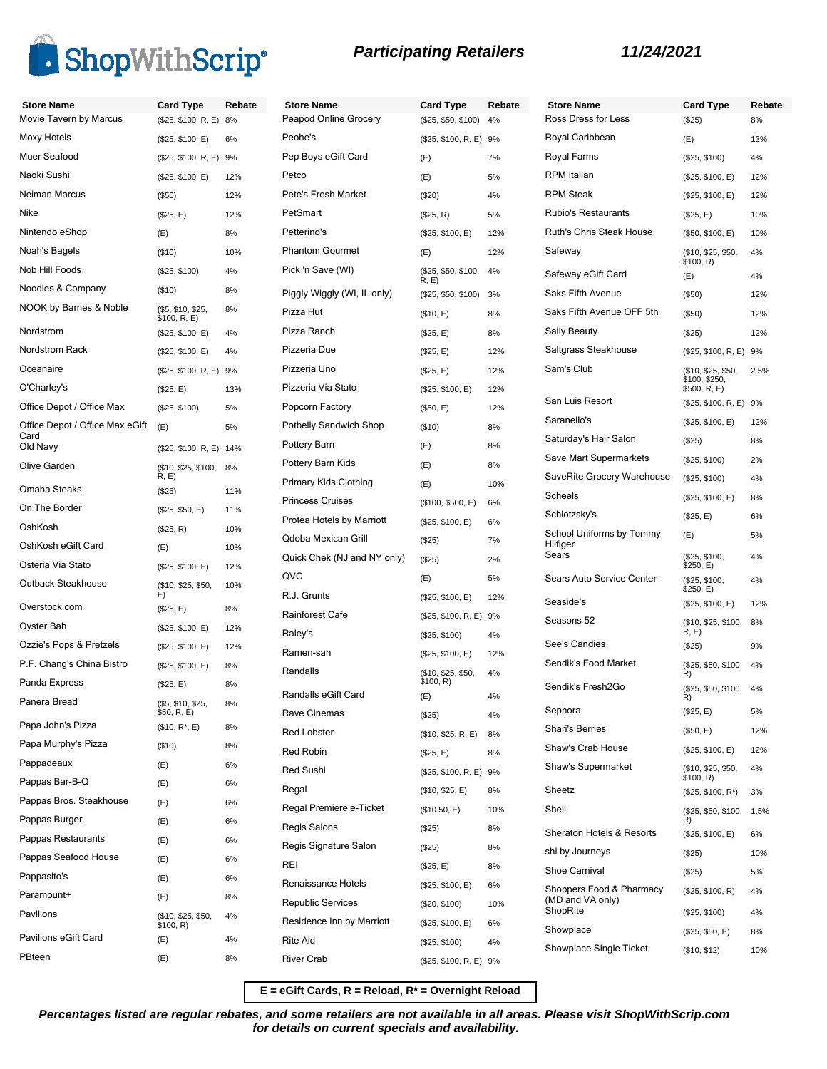

| <b>Store Name</b>               | <b>Card Type</b>                  | Rebate | <b>Store Name</b>           | <b>Card Type</b>            | Rebate | <b>Sto</b>  |
|---------------------------------|-----------------------------------|--------|-----------------------------|-----------------------------|--------|-------------|
| Movie Tavern by Marcus          | (\$25, \$100, R, E) 8%            |        | Peapod Online Grocery       | (\$25, \$50, \$100) 4%      |        | Ros         |
| Moxy Hotels                     | (\$25, \$100, E)                  | 6%     | Peohe's                     | (\$25, \$100, R, E) 9%      |        | Roy         |
| Muer Seafood                    | (\$25, \$100, R, E) 9%            |        | Pep Boys eGift Card         | (E)                         | 7%     | Roy         |
| Naoki Sushi                     | (\$25, \$100, E)                  | 12%    | Petco                       | (E)                         | 5%     | <b>RPI</b>  |
| Neiman Marcus                   | (\$50)                            | 12%    | Pete's Fresh Market         | (\$20)                      | 4%     | <b>RPI</b>  |
| Nike                            | (\$25, E)                         | 12%    | PetSmart                    | (\$25, R)                   | 5%     | Rut         |
| Nintendo eShop                  | (E)                               | 8%     | Petterino's                 | (\$25, \$100, E)            | 12%    | Rut         |
| Noah's Bagels                   | (\$10)                            | 10%    | <b>Phantom Gourmet</b>      | (E)                         | 12%    | Saf         |
| Nob Hill Foods                  | (\$25, \$100)                     | 4%     | Pick 'n Save (WI)           | (\$25, \$50, \$100,<br>R, E | 4%     | Saf         |
| Noodles & Company               | (\$10)                            | 8%     | Piggly Wiggly (WI, IL only) | (\$25, \$50, \$100)         | 3%     | Sak         |
| NOOK by Barnes & Noble          | (\$5, \$10, \$25,<br>\$100, R, E) | 8%     | Pizza Hut                   | (\$10, E)                   | 8%     | Sak         |
| Nordstrom                       | (\$25, \$100, E)                  | 4%     | Pizza Ranch                 | (\$25, E)                   | 8%     | Sall        |
| Nordstrom Rack                  | (\$25, \$100, E)                  | 4%     | Pizzeria Due                | (\$25, E)                   | 12%    | Sal         |
| Oceanaire                       | (\$25, \$100, R, E) 9%            |        | Pizzeria Uno                | (\$25, E)                   | 12%    | Sar         |
| O'Charley's                     | (\$25, E)                         | 13%    | Pizzeria Via Stato          | (\$25, \$100, E)            | 12%    |             |
| Office Depot / Office Max       | (\$25, \$100)                     | 5%     | Popcorn Factory             | (\$50, E)                   | 12%    | Sar         |
| Office Depot / Office Max eGift | (E)                               | 5%     | Potbelly Sandwich Shop      | (\$10)                      | 8%     | Sar         |
| Card<br>Old Navy                | (\$25, \$100, R, E) 14%           |        | Pottery Barn                | (E)                         | 8%     | Sat         |
| Olive Garden                    | (\$10, \$25, \$100,               | 8%     | Pottery Barn Kids           | (E)                         | 8%     | Sav         |
|                                 | R, E)                             |        | Primary Kids Clothing       | (E)                         | 10%    | Sav         |
| Omaha Steaks                    | (\$25)                            | 11%    | <b>Princess Cruises</b>     | (\$100, \$500, E)           | 6%     | Sch         |
| On The Border                   | (\$25, \$50, E)                   | 11%    | Protea Hotels by Marriott   | (\$25, \$100, E)            | 6%     | Sch         |
| OshKosh                         | (\$25, R)                         | 10%    | Qdoba Mexican Grill         | (\$25)                      | 7%     | Sch         |
| OshKosh eGift Card              | (E)                               | 10%    | Quick Chek (NJ and NY only) | (\$25)                      | 2%     | Hilf<br>Sea |
| Osteria Via Stato               | (\$25, \$100, E)                  | 12%    | QVC                         | (E)                         | 5%     | Sea         |
| Outback Steakhouse              | (\$10, \$25, \$50,<br>E)          | 10%    | R.J. Grunts                 | (\$25, \$100, E)            | 12%    |             |
| Overstock.com                   | (\$25, E)                         | 8%     | Rainforest Cafe             | (\$25, \$100, R, E) 9%      |        | Sea         |
| Oyster Bah                      | (\$25, \$100, E)                  | 12%    | Raley's                     | (\$25, \$100)               | 4%     | Sea         |
| Ozzie's Pops & Pretzels         | (\$25, \$100, E)                  | 12%    | Ramen-san                   | (\$25, \$100, E)            | 12%    | See         |
| P.F. Chang's China Bistro       | (\$25, \$100, E)                  | 8%     | Randalls                    | (\$10, \$25, \$50,          | 4%     | Ser         |
| Panda Express                   | (\$25, E)                         | 8%     |                             | \$100, R)                   |        | Ser         |
| Panera Bread                    | (\$5, \$10, \$25,                 | 8%     | Randalls eGift Card         | (E)                         | 4%     | Sep         |
| Papa John's Pizza               | \$50, R, E)<br>$($10, R^*, E)$    | 8%     | Rave Cinemas                | (\$25)                      | 4%     | Sha         |
| Papa Murphy's Pizza             | (\$10)                            | 8%     | <b>Red Lobster</b>          | (\$10, \$25, R, E)          | 8%     | Sha         |
| Pappadeaux                      | (E)                               | 6%     | Red Robin                   | (\$25, E)                   | 8%     |             |
| Pappas Bar-B-Q                  | (E)                               | 6%     | Red Sushi                   | (\$25, \$100, R, E) 9%      |        | Sha         |
| Pappas Bros. Steakhouse         | (E)                               | 6%     | Regal                       | (\$10, \$25, E)             | 8%     | She         |
| Pappas Burger                   | (E)                               | 6%     | Regal Premiere e-Ticket     | (\$10.50, E)                | 10%    | She         |
| Pappas Restaurants              | (E)                               | 6%     | Regis Salons                | (\$25)                      | 8%     | She         |
| Pappas Seafood House            |                                   | 6%     | Regis Signature Salon       | (\$25)                      | 8%     | shi         |
| Pappasito's                     | (E)                               | 6%     | <b>REI</b>                  | (\$25, E)                   | 8%     | Sho         |
| Paramount+                      | (E)                               |        | Renaissance Hotels          | (\$25, \$100, E)            | 6%     | Sho         |
| Pavilions                       | (E)                               | 8%     | <b>Republic Services</b>    | (\$20, \$100)               | 10%    | (ME<br>Sho  |
|                                 | (\$10, \$25, \$50,<br>\$100, R)   | 4%     | Residence Inn by Marriott   | (\$25, \$100, E)            | 6%     | Sho         |
| Pavilions eGift Card            | (E)                               | 4%     | <b>Rite Aid</b>             | (\$25, \$100)               | 4%     | Sho         |
| PBteen                          | (E)                               | 8%     | <b>River Crab</b>           | (\$25, \$100, R, E) 9%      |        |             |

| <b>Store Name</b>                                        | <b>Card Type</b>                                    | Rebate |
|----------------------------------------------------------|-----------------------------------------------------|--------|
| Ross Dress for Less                                      | (\$25)                                              | 8%     |
| Royal Caribbean                                          | (E)                                                 | 13%    |
| Royal Farms                                              | (\$25, \$100)                                       | 4%     |
| <b>RPM</b> Italian                                       | (\$25, \$100, E)                                    | 12%    |
| <b>RPM Steak</b>                                         | (\$25, \$100, E)                                    | 12%    |
| <b>Rubio's Restaurants</b>                               | (\$25, E)                                           | 10%    |
| Ruth's Chris Steak House                                 | (\$50, \$100, E)                                    | 10%    |
| Safeway                                                  | (\$10, \$25, \$50,<br>\$100, R)                     | 4%     |
| Safeway eGift Card                                       | (E)                                                 | 4%     |
| Saks Fifth Avenue                                        | $(\$50)$                                            | 12%    |
| Saks Fifth Avenue OFF 5th                                | $($ \$50)                                           | 12%    |
| Sally Beauty                                             | $(\$25)$                                            | 12%    |
| Saltgrass Steakhouse                                     | (\$25, \$100, R, E)                                 | 9%     |
| Sam's Club                                               | (\$10, \$25, \$50,<br>\$100, \$250,<br>\$500, R, E) | 2.5%   |
| San Luis Resort                                          | (\$25, \$100, R, E)                                 | 9%     |
| Saranello's                                              | (\$25, \$100, E)                                    | 12%    |
| Saturday's Hair Salon                                    | (\$25)                                              | 8%     |
| Save Mart Supermarkets                                   | (\$25, \$100)                                       | 2%     |
| SaveRite Grocery Warehouse                               | (\$25, \$100)                                       | 4%     |
| Scheels                                                  | (\$25, \$100, E)                                    | 8%     |
| Schlotzsky's                                             | (\$25, E)                                           | 6%     |
| School Uniforms by Tommy<br>Hilfiger<br>Sears            | (E)                                                 | 5%     |
|                                                          | (\$25, \$100,<br>\$250, E)                          | 4%     |
| Sears Auto Service Center<br>Seaside's                   | (\$25, \$100,<br>\$250, E)                          | 4%     |
| Seasons 52                                               | (\$25, \$100, E)                                    | 12%    |
|                                                          | (\$10, \$25, \$100,<br>R, E                         | 8%     |
| See's Candies                                            | (\$25)                                              | 9%     |
| Sendik's Food Market                                     | (\$25, \$50, \$100,<br>R)                           | 4%     |
| Sendik's Fresh2Go                                        | (\$25, \$50, \$100,<br>R)                           | 4%     |
| Sephora                                                  | (\$25, E)                                           | 5%     |
| Shari's Berries                                          | (\$50, E)                                           | 12%    |
| Shaw's Crab House                                        | (\$25, \$100, E)                                    | 12%    |
| Shaw's Supermarket                                       | (\$10, \$25, \$50,<br>\$100, R)                     | 4%     |
| Sheetz                                                   | (\$25, \$100, R*)                                   | 3%     |
| Shell                                                    | (\$25, \$50, \$100,<br>R)                           | 1.5%   |
| Sheraton Hotels & Resorts                                | (\$25, \$100, E)                                    | 6%     |
| shi by Journeys                                          | $(\$25)$                                            | 10%    |
| <b>Shoe Carnival</b>                                     | (\$25)                                              | 5%     |
| Shoppers Food & Pharmacy<br>(MD and VA only)<br>ShopRite | (\$25, \$100, R)                                    | 4%     |
| Showplace                                                | (\$25, \$100)                                       | 4%     |
|                                                          | (\$25, \$50, E)                                     | 8%     |
| Showplace Single Ticket                                  | (\$10, \$12)                                        | 10%    |

**E = eGift Cards, R = Reload, R\* = Overnight Reload**